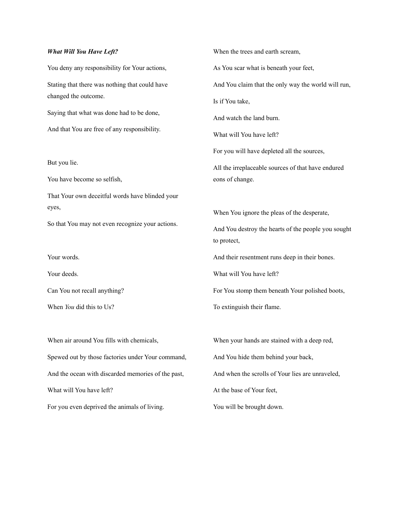## *What Will You Have Left?*

You deny any responsibility for Your actions, Stating that there was nothing that could have changed the outcome.

Saying that what was done had to be done,

And that You are free of any responsibility.

But you lie.

You have become so selfish,

That Your own deceitful words have blinded your eyes,

So that You may not even recognize your actions.

Your words.

Your deeds.

Can You not recall anything?

When *You* did this to Us?

When air around You fills with chemicals, Spewed out by those factories under Your command, And the ocean with discarded memories of the past, What will You have left?

For you even deprived the animals of living.

When the trees and earth scream, As You scar what is beneath your feet, And You claim that the only way the world will run, Is if You take, And watch the land burn. What will You have left? For you will have depleted all the sources, All the irreplaceable sources of that have endured eons of change. When You ignore the pleas of the desperate, And You destroy the hearts of the people you sought to protect, And their resentment runs deep in their bones. What will You have left? For You stomp them beneath Your polished boots, To extinguish their flame. When your hands are stained with a deep red, And You hide them behind your back, And when the scrolls of Your lies are unraveled,

At the base of Your feet,

You will be brought down.